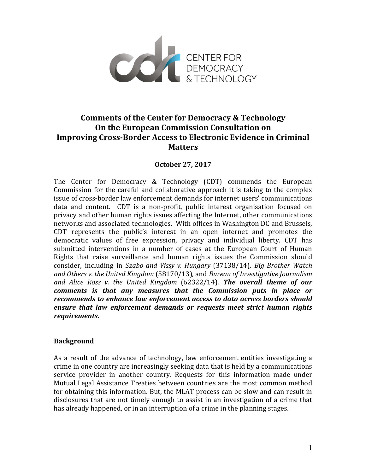

## **Comments of the Center for Democracy & Technology On the European Commission Consultation on Improving Cross-Border Access to Electronic Evidence in Criminal Matters**

## **October 27, 2017**

The Center for Democracy  $&$  Technology (CDT) commends the European Commission for the careful and collaborative approach it is taking to the complex issue of cross-border law enforcement demands for internet users' communications data and content. CDT is a non-profit, public interest organisation focused on privacy and other human rights issues affecting the Internet, other communications networks and associated technologies. With offices in Washington DC and Brussels, CDT represents the public's interest in an open internet and promotes the democratic values of free expression, privacy and individual liberty. CDT has submitted interventions in a number of cases at the European Court of Human Rights that raise surveillance and human rights issues the Commission should consider, including in Szabo and Vissy v. Hungary (37138/14), *Big Brother Watch* and Others v. the United Kingdom (58170/13), and Bureau of Investigative Journalism and Alice Ross v. the United Kingdom (62322/14). **The overall theme of our** *comments* is that any measures that the Commission puts in place or *recommends* to enhance law enforcement access to data across borders should *ensure that law enforcement demands or requests meet strict human rights requirements.* 

## **Background**

As a result of the advance of technology, law enforcement entities investigating a crime in one country are increasingly seeking data that is held by a communications service provider in another country. Requests for this information made under Mutual Legal Assistance Treaties between countries are the most common method for obtaining this information. But, the MLAT process can be slow and can result in disclosures that are not timely enough to assist in an investigation of a crime that has already happened, or in an interruption of a crime in the planning stages.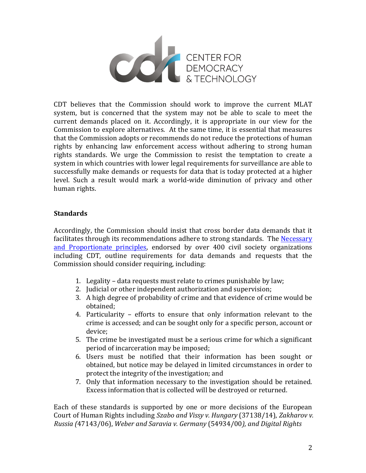

CDT believes that the Commission should work to improve the current MLAT system, but is concerned that the system may not be able to scale to meet the current demands placed on it. Accordingly, it is appropriate in our view for the Commission to explore alternatives. At the same time, it is essential that measures that the Commission adopts or recommends do not reduce the protections of human rights by enhancing law enforcement access without adhering to strong human rights standards. We urge the Commission to resist the temptation to create a system in which countries with lower legal requirements for surveillance are able to successfully make demands or requests for data that is today protected at a higher level. Such a result would mark a world-wide diminution of privacy and other human rights.

## **Standards**

Accordingly, the Commission should insist that cross border data demands that it facilitates through its recommendations adhere to strong standards. The Necessary and Proportionate principles, endorsed by over 400 civil society organizations including CDT, outline requirements for data demands and requests that the Commission should consider requiring, including:

- 1. Legality data requests must relate to crimes punishable by law;
- 2. Judicial or other independent authorization and supervision;
- 3. A high degree of probability of crime and that evidence of crime would be obtained;
- 4. Particularity efforts to ensure that only information relevant to the crime is accessed; and can be sought only for a specific person, account or device;
- 5. The crime be investigated must be a serious crime for which a significant period of incarceration may be imposed;
- 6. Users must be notified that their information has been sought or obtained, but notice may be delayed in limited circumstances in order to protect the integrity of the investigation; and
- 7. Only that information necessary to the investigation should be retained. Excess information that is collected will be destroyed or returned.

Each of these standards is supported by one or more decisions of the European Court of Human Rights including *Szabo and Vissy v. Hungary* (37138/14), *Zakharov v. Russia* (47143/06), *Weber and Saravia v. Germany* (54934/00), and Digital Rights